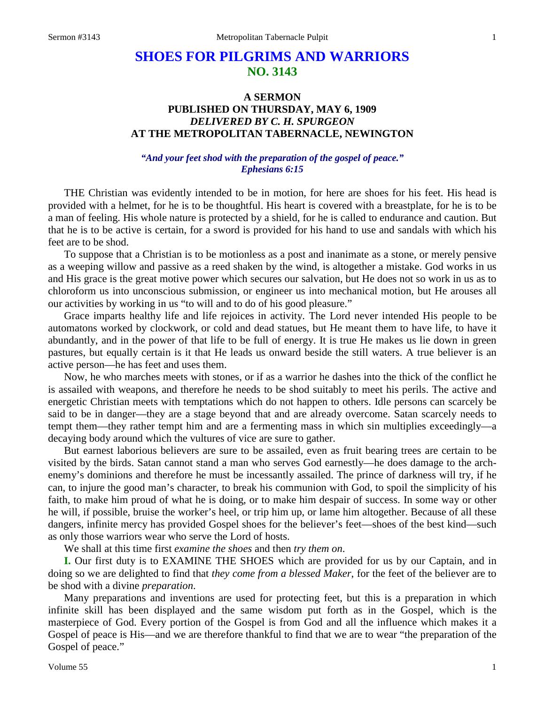# **SHOES FOR PILGRIMS AND WARRIORS NO. 3143**

# **A SERMON PUBLISHED ON THURSDAY, MAY 6, 1909** *DELIVERED BY C. H. SPURGEON* **AT THE METROPOLITAN TABERNACLE, NEWINGTON**

# *"And your feet shod with the preparation of the gospel of peace." Ephesians 6:15*

THE Christian was evidently intended to be in motion, for here are shoes for his feet. His head is provided with a helmet, for he is to be thoughtful. His heart is covered with a breastplate, for he is to be a man of feeling. His whole nature is protected by a shield, for he is called to endurance and caution. But that he is to be active is certain, for a sword is provided for his hand to use and sandals with which his feet are to be shod.

To suppose that a Christian is to be motionless as a post and inanimate as a stone, or merely pensive as a weeping willow and passive as a reed shaken by the wind, is altogether a mistake. God works in us and His grace is the great motive power which secures our salvation, but He does not so work in us as to chloroform us into unconscious submission, or engineer us into mechanical motion, but He arouses all our activities by working in us "to will and to do of his good pleasure."

Grace imparts healthy life and life rejoices in activity. The Lord never intended His people to be automatons worked by clockwork, or cold and dead statues, but He meant them to have life, to have it abundantly, and in the power of that life to be full of energy. It is true He makes us lie down in green pastures, but equally certain is it that He leads us onward beside the still waters. A true believer is an active person—he has feet and uses them.

Now, he who marches meets with stones, or if as a warrior he dashes into the thick of the conflict he is assailed with weapons, and therefore he needs to be shod suitably to meet his perils. The active and energetic Christian meets with temptations which do not happen to others. Idle persons can scarcely be said to be in danger—they are a stage beyond that and are already overcome. Satan scarcely needs to tempt them—they rather tempt him and are a fermenting mass in which sin multiplies exceedingly—a decaying body around which the vultures of vice are sure to gather.

But earnest laborious believers are sure to be assailed, even as fruit bearing trees are certain to be visited by the birds. Satan cannot stand a man who serves God earnestly—he does damage to the archenemy's dominions and therefore he must be incessantly assailed. The prince of darkness will try, if he can, to injure the good man's character, to break his communion with God, to spoil the simplicity of his faith, to make him proud of what he is doing, or to make him despair of success. In some way or other he will, if possible, bruise the worker's heel, or trip him up, or lame him altogether. Because of all these dangers, infinite mercy has provided Gospel shoes for the believer's feet—shoes of the best kind—such as only those warriors wear who serve the Lord of hosts.

We shall at this time first *examine the shoes* and then *try them on*.

**I.** Our first duty is to EXAMINE THE SHOES which are provided for us by our Captain, and in doing so we are delighted to find that *they come from a blessed Maker*, for the feet of the believer are to be shod with a divine *preparation*.

Many preparations and inventions are used for protecting feet, but this is a preparation in which infinite skill has been displayed and the same wisdom put forth as in the Gospel, which is the masterpiece of God. Every portion of the Gospel is from God and all the influence which makes it a Gospel of peace is His—and we are therefore thankful to find that we are to wear "the preparation of the Gospel of peace."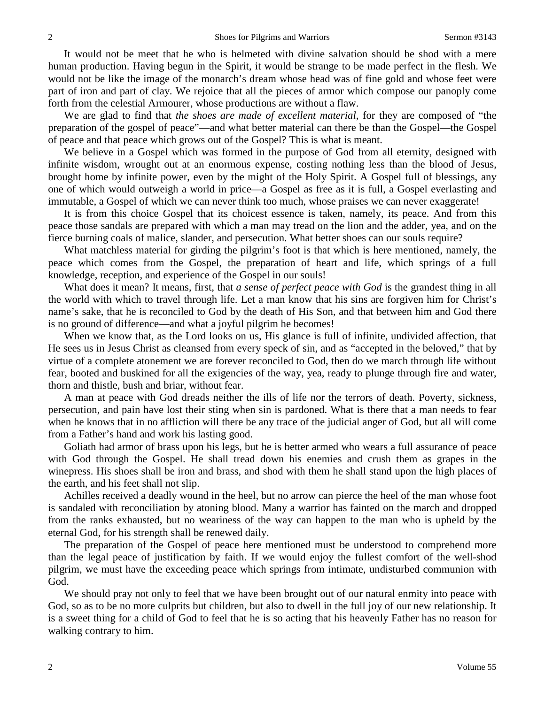It would not be meet that he who is helmeted with divine salvation should be shod with a mere human production. Having begun in the Spirit, it would be strange to be made perfect in the flesh. We would not be like the image of the monarch's dream whose head was of fine gold and whose feet were part of iron and part of clay. We rejoice that all the pieces of armor which compose our panoply come forth from the celestial Armourer, whose productions are without a flaw.

We are glad to find that *the shoes are made of excellent material*, for they are composed of "the preparation of the gospel of peace"—and what better material can there be than the Gospel—the Gospel of peace and that peace which grows out of the Gospel? This is what is meant.

We believe in a Gospel which was formed in the purpose of God from all eternity, designed with infinite wisdom, wrought out at an enormous expense, costing nothing less than the blood of Jesus, brought home by infinite power, even by the might of the Holy Spirit. A Gospel full of blessings, any one of which would outweigh a world in price—a Gospel as free as it is full, a Gospel everlasting and immutable, a Gospel of which we can never think too much, whose praises we can never exaggerate!

It is from this choice Gospel that its choicest essence is taken, namely, its peace. And from this peace those sandals are prepared with which a man may tread on the lion and the adder, yea, and on the fierce burning coals of malice, slander, and persecution. What better shoes can our souls require?

What matchless material for girding the pilgrim's foot is that which is here mentioned, namely, the peace which comes from the Gospel, the preparation of heart and life, which springs of a full knowledge, reception, and experience of the Gospel in our souls!

What does it mean? It means, first, that *a sense of perfect peace with God* is the grandest thing in all the world with which to travel through life. Let a man know that his sins are forgiven him for Christ's name's sake, that he is reconciled to God by the death of His Son, and that between him and God there is no ground of difference—and what a joyful pilgrim he becomes!

When we know that, as the Lord looks on us, His glance is full of infinite, undivided affection, that He sees us in Jesus Christ as cleansed from every speck of sin, and as "accepted in the beloved," that by virtue of a complete atonement we are forever reconciled to God, then do we march through life without fear, booted and buskined for all the exigencies of the way, yea, ready to plunge through fire and water, thorn and thistle, bush and briar, without fear.

A man at peace with God dreads neither the ills of life nor the terrors of death. Poverty, sickness, persecution, and pain have lost their sting when sin is pardoned. What is there that a man needs to fear when he knows that in no affliction will there be any trace of the judicial anger of God, but all will come from a Father's hand and work his lasting good.

Goliath had armor of brass upon his legs, but he is better armed who wears a full assurance of peace with God through the Gospel. He shall tread down his enemies and crush them as grapes in the winepress. His shoes shall be iron and brass, and shod with them he shall stand upon the high places of the earth, and his feet shall not slip.

Achilles received a deadly wound in the heel, but no arrow can pierce the heel of the man whose foot is sandaled with reconciliation by atoning blood. Many a warrior has fainted on the march and dropped from the ranks exhausted, but no weariness of the way can happen to the man who is upheld by the eternal God, for his strength shall be renewed daily.

The preparation of the Gospel of peace here mentioned must be understood to comprehend more than the legal peace of justification by faith. If we would enjoy the fullest comfort of the well-shod pilgrim, we must have the exceeding peace which springs from intimate, undisturbed communion with God.

We should pray not only to feel that we have been brought out of our natural enmity into peace with God, so as to be no more culprits but children, but also to dwell in the full joy of our new relationship. It is a sweet thing for a child of God to feel that he is so acting that his heavenly Father has no reason for walking contrary to him.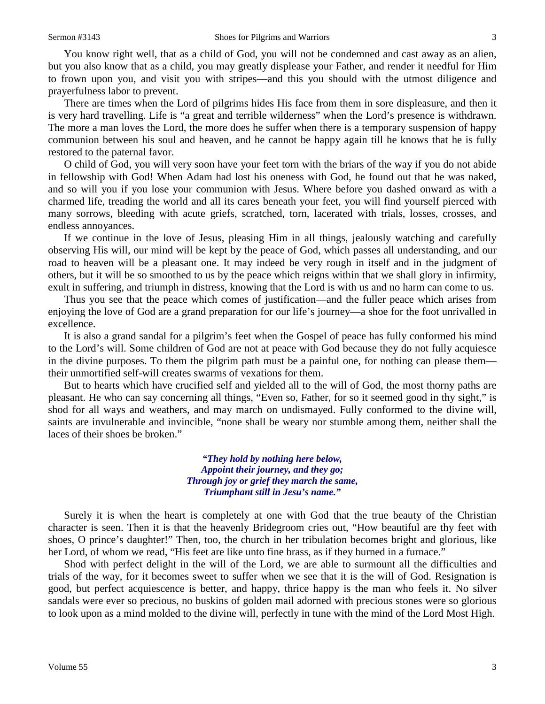You know right well, that as a child of God, you will not be condemned and cast away as an alien, but you also know that as a child, you may greatly displease your Father, and render it needful for Him to frown upon you, and visit you with stripes—and this you should with the utmost diligence and prayerfulness labor to prevent.

There are times when the Lord of pilgrims hides His face from them in sore displeasure, and then it is very hard travelling. Life is "a great and terrible wilderness" when the Lord's presence is withdrawn. The more a man loves the Lord, the more does he suffer when there is a temporary suspension of happy communion between his soul and heaven, and he cannot be happy again till he knows that he is fully restored to the paternal favor.

O child of God, you will very soon have your feet torn with the briars of the way if you do not abide in fellowship with God! When Adam had lost his oneness with God, he found out that he was naked, and so will you if you lose your communion with Jesus. Where before you dashed onward as with a charmed life, treading the world and all its cares beneath your feet, you will find yourself pierced with many sorrows, bleeding with acute griefs, scratched, torn, lacerated with trials, losses, crosses, and endless annoyances.

If we continue in the love of Jesus, pleasing Him in all things, jealously watching and carefully observing His will, our mind will be kept by the peace of God, which passes all understanding, and our road to heaven will be a pleasant one. It may indeed be very rough in itself and in the judgment of others, but it will be so smoothed to us by the peace which reigns within that we shall glory in infirmity, exult in suffering, and triumph in distress, knowing that the Lord is with us and no harm can come to us.

Thus you see that the peace which comes of justification—and the fuller peace which arises from enjoying the love of God are a grand preparation for our life's journey—a shoe for the foot unrivalled in excellence.

It is also a grand sandal for a pilgrim's feet when the Gospel of peace has fully conformed his mind to the Lord's will. Some children of God are not at peace with God because they do not fully acquiesce in the divine purposes. To them the pilgrim path must be a painful one, for nothing can please them their unmortified self-will creates swarms of vexations for them.

But to hearts which have crucified self and yielded all to the will of God, the most thorny paths are pleasant. He who can say concerning all things, "Even so, Father, for so it seemed good in thy sight," is shod for all ways and weathers, and may march on undismayed. Fully conformed to the divine will, saints are invulnerable and invincible, "none shall be weary nor stumble among them, neither shall the laces of their shoes be broken."

> *"They hold by nothing here below, Appoint their journey, and they go; Through joy or grief they march the same, Triumphant still in Jesu's name."*

Surely it is when the heart is completely at one with God that the true beauty of the Christian character is seen. Then it is that the heavenly Bridegroom cries out, "How beautiful are thy feet with shoes, O prince's daughter!" Then, too, the church in her tribulation becomes bright and glorious, like her Lord, of whom we read, "His feet are like unto fine brass, as if they burned in a furnace."

Shod with perfect delight in the will of the Lord, we are able to surmount all the difficulties and trials of the way, for it becomes sweet to suffer when we see that it is the will of God. Resignation is good, but perfect acquiescence is better, and happy, thrice happy is the man who feels it. No silver sandals were ever so precious, no buskins of golden mail adorned with precious stones were so glorious to look upon as a mind molded to the divine will, perfectly in tune with the mind of the Lord Most High.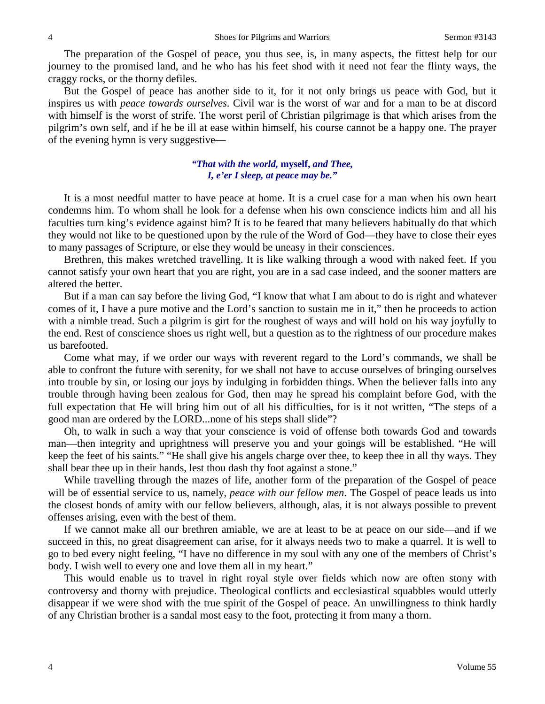The preparation of the Gospel of peace, you thus see, is, in many aspects, the fittest help for our journey to the promised land, and he who has his feet shod with it need not fear the flinty ways, the craggy rocks, or the thorny defiles.

But the Gospel of peace has another side to it, for it not only brings us peace with God, but it inspires us with *peace towards ourselves*. Civil war is the worst of war and for a man to be at discord with himself is the worst of strife. The worst peril of Christian pilgrimage is that which arises from the pilgrim's own self, and if he be ill at ease within himself, his course cannot be a happy one. The prayer of the evening hymn is very suggestive—

### *"That with the world,* **myself,** *and Thee, I, e'er I sleep, at peace may be."*

It is a most needful matter to have peace at home. It is a cruel case for a man when his own heart condemns him. To whom shall he look for a defense when his own conscience indicts him and all his faculties turn king's evidence against him? It is to be feared that many believers habitually do that which they would not like to be questioned upon by the rule of the Word of God—they have to close their eyes to many passages of Scripture, or else they would be uneasy in their consciences.

Brethren, this makes wretched travelling. It is like walking through a wood with naked feet. If you cannot satisfy your own heart that you are right, you are in a sad case indeed, and the sooner matters are altered the better.

But if a man can say before the living God, "I know that what I am about to do is right and whatever comes of it, I have a pure motive and the Lord's sanction to sustain me in it," then he proceeds to action with a nimble tread. Such a pilgrim is girt for the roughest of ways and will hold on his way joyfully to the end. Rest of conscience shoes us right well, but a question as to the rightness of our procedure makes us barefooted.

Come what may, if we order our ways with reverent regard to the Lord's commands, we shall be able to confront the future with serenity, for we shall not have to accuse ourselves of bringing ourselves into trouble by sin, or losing our joys by indulging in forbidden things. When the believer falls into any trouble through having been zealous for God, then may he spread his complaint before God, with the full expectation that He will bring him out of all his difficulties, for is it not written, "The steps of a good man are ordered by the LORD...none of his steps shall slide"?

Oh, to walk in such a way that your conscience is void of offense both towards God and towards man—then integrity and uprightness will preserve you and your goings will be established. "He will keep the feet of his saints." "He shall give his angels charge over thee, to keep thee in all thy ways. They shall bear thee up in their hands, lest thou dash thy foot against a stone."

While travelling through the mazes of life, another form of the preparation of the Gospel of peace will be of essential service to us, namely, *peace with our fellow men*. The Gospel of peace leads us into the closest bonds of amity with our fellow believers, although, alas, it is not always possible to prevent offenses arising, even with the best of them.

If we cannot make all our brethren amiable, we are at least to be at peace on our side—and if we succeed in this, no great disagreement can arise, for it always needs two to make a quarrel. It is well to go to bed every night feeling, "I have no difference in my soul with any one of the members of Christ's body. I wish well to every one and love them all in my heart."

This would enable us to travel in right royal style over fields which now are often stony with controversy and thorny with prejudice. Theological conflicts and ecclesiastical squabbles would utterly disappear if we were shod with the true spirit of the Gospel of peace. An unwillingness to think hardly of any Christian brother is a sandal most easy to the foot, protecting it from many a thorn.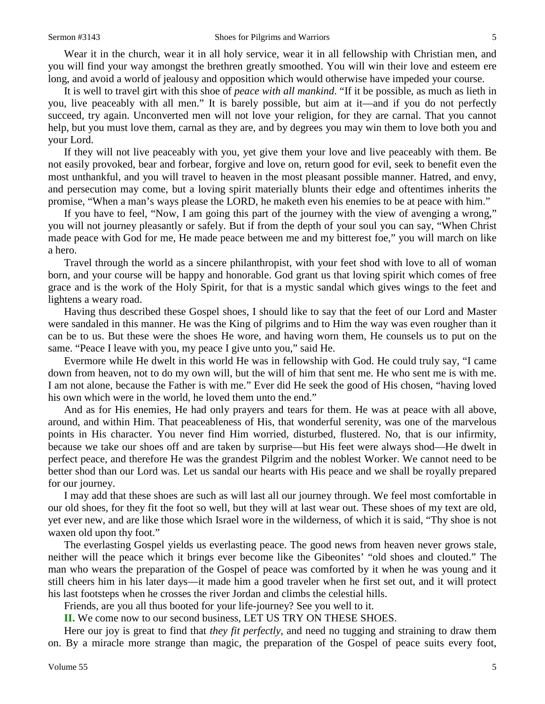Wear it in the church, wear it in all holy service, wear it in all fellowship with Christian men, and you will find your way amongst the brethren greatly smoothed. You will win their love and esteem ere long, and avoid a world of jealousy and opposition which would otherwise have impeded your course.

It is well to travel girt with this shoe of *peace with all mankind*. "If it be possible, as much as lieth in you, live peaceably with all men." It is barely possible, but aim at it—and if you do not perfectly succeed, try again. Unconverted men will not love your religion, for they are carnal. That you cannot help, but you must love them, carnal as they are, and by degrees you may win them to love both you and your Lord.

If they will not live peaceably with you, yet give them your love and live peaceably with them. Be not easily provoked, bear and forbear, forgive and love on, return good for evil, seek to benefit even the most unthankful, and you will travel to heaven in the most pleasant possible manner. Hatred, and envy, and persecution may come, but a loving spirit materially blunts their edge and oftentimes inherits the promise, "When a man's ways please the LORD, he maketh even his enemies to be at peace with him."

If you have to feel, "Now, I am going this part of the journey with the view of avenging a wrong," you will not journey pleasantly or safely. But if from the depth of your soul you can say, "When Christ made peace with God for me, He made peace between me and my bitterest foe," you will march on like a hero.

Travel through the world as a sincere philanthropist, with your feet shod with love to all of woman born, and your course will be happy and honorable. God grant us that loving spirit which comes of free grace and is the work of the Holy Spirit, for that is a mystic sandal which gives wings to the feet and lightens a weary road.

Having thus described these Gospel shoes, I should like to say that the feet of our Lord and Master were sandaled in this manner. He was the King of pilgrims and to Him the way was even rougher than it can be to us. But these were the shoes He wore, and having worn them, He counsels us to put on the same. "Peace I leave with you, my peace I give unto you," said He.

Evermore while He dwelt in this world He was in fellowship with God. He could truly say, "I came down from heaven, not to do my own will, but the will of him that sent me. He who sent me is with me. I am not alone, because the Father is with me." Ever did He seek the good of His chosen, "having loved his own which were in the world, he loved them unto the end."

And as for His enemies, He had only prayers and tears for them. He was at peace with all above, around, and within Him. That peaceableness of His, that wonderful serenity, was one of the marvelous points in His character. You never find Him worried, disturbed, flustered. No, that is our infirmity, because we take our shoes off and are taken by surprise—but His feet were always shod—He dwelt in perfect peace, and therefore He was the grandest Pilgrim and the noblest Worker. We cannot need to be better shod than our Lord was. Let us sandal our hearts with His peace and we shall be royally prepared for our journey.

I may add that these shoes are such as will last all our journey through. We feel most comfortable in our old shoes, for they fit the foot so well, but they will at last wear out. These shoes of my text are old, yet ever new, and are like those which Israel wore in the wilderness, of which it is said, "Thy shoe is not waxen old upon thy foot."

The everlasting Gospel yields us everlasting peace. The good news from heaven never grows stale, neither will the peace which it brings ever become like the Gibeonites' "old shoes and clouted." The man who wears the preparation of the Gospel of peace was comforted by it when he was young and it still cheers him in his later days—it made him a good traveler when he first set out, and it will protect his last footsteps when he crosses the river Jordan and climbs the celestial hills.

Friends, are you all thus booted for your life-journey? See you well to it.

**II.** We come now to our second business, LET US TRY ON THESE SHOES.

Here our joy is great to find that *they fit perfectly*, and need no tugging and straining to draw them on. By a miracle more strange than magic, the preparation of the Gospel of peace suits every foot,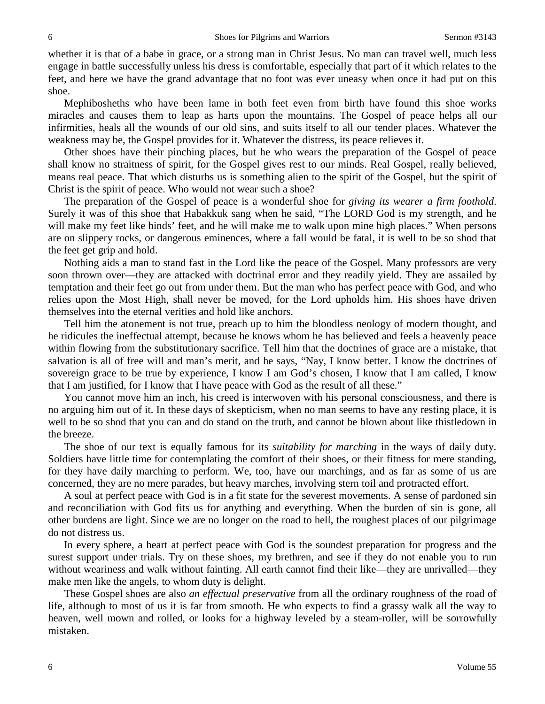whether it is that of a babe in grace, or a strong man in Christ Jesus. No man can travel well, much less engage in battle successfully unless his dress is comfortable, especially that part of it which relates to the feet, and here we have the grand advantage that no foot was ever uneasy when once it had put on this shoe.

Mephibosheths who have been lame in both feet even from birth have found this shoe works miracles and causes them to leap as harts upon the mountains. The Gospel of peace helps all our infirmities, heals all the wounds of our old sins, and suits itself to all our tender places. Whatever the weakness may be, the Gospel provides for it. Whatever the distress, its peace relieves it.

Other shoes have their pinching places, but he who wears the preparation of the Gospel of peace shall know no straitness of spirit, for the Gospel gives rest to our minds. Real Gospel, really believed, means real peace. That which disturbs us is something alien to the spirit of the Gospel, but the spirit of Christ is the spirit of peace. Who would not wear such a shoe?

The preparation of the Gospel of peace is a wonderful shoe for *giving its wearer a firm foothold*. Surely it was of this shoe that Habakkuk sang when he said, "The LORD God is my strength, and he will make my feet like hinds' feet, and he will make me to walk upon mine high places." When persons are on slippery rocks, or dangerous eminences, where a fall would be fatal, it is well to be so shod that the feet get grip and hold.

Nothing aids a man to stand fast in the Lord like the peace of the Gospel. Many professors are very soon thrown over—they are attacked with doctrinal error and they readily yield. They are assailed by temptation and their feet go out from under them. But the man who has perfect peace with God, and who relies upon the Most High, shall never be moved, for the Lord upholds him. His shoes have driven themselves into the eternal verities and hold like anchors.

Tell him the atonement is not true, preach up to him the bloodless neology of modern thought, and he ridicules the ineffectual attempt, because he knows whom he has believed and feels a heavenly peace within flowing from the substitutionary sacrifice. Tell him that the doctrines of grace are a mistake, that salvation is all of free will and man's merit, and he says, "Nay, I know better. I know the doctrines of sovereign grace to be true by experience, I know I am God's chosen, I know that I am called, I know that I am justified, for I know that I have peace with God as the result of all these."

You cannot move him an inch, his creed is interwoven with his personal consciousness, and there is no arguing him out of it. In these days of skepticism, when no man seems to have any resting place, it is well to be so shod that you can and do stand on the truth, and cannot be blown about like thistledown in the breeze.

The shoe of our text is equally famous for its *suitability for marching* in the ways of daily duty. Soldiers have little time for contemplating the comfort of their shoes, or their fitness for mere standing, for they have daily marching to perform. We, too, have our marchings, and as far as some of us are concerned, they are no mere parades, but heavy marches, involving stern toil and protracted effort.

A soul at perfect peace with God is in a fit state for the severest movements. A sense of pardoned sin and reconciliation with God fits us for anything and everything. When the burden of sin is gone, all other burdens are light. Since we are no longer on the road to hell, the roughest places of our pilgrimage do not distress us.

In every sphere, a heart at perfect peace with God is the soundest preparation for progress and the surest support under trials. Try on these shoes, my brethren, and see if they do not enable you to run without weariness and walk without fainting. All earth cannot find their like—they are unrivalled—they make men like the angels, to whom duty is delight.

These Gospel shoes are also *an effectual preservative* from all the ordinary roughness of the road of life, although to most of us it is far from smooth. He who expects to find a grassy walk all the way to heaven, well mown and rolled, or looks for a highway leveled by a steam-roller, will be sorrowfully mistaken.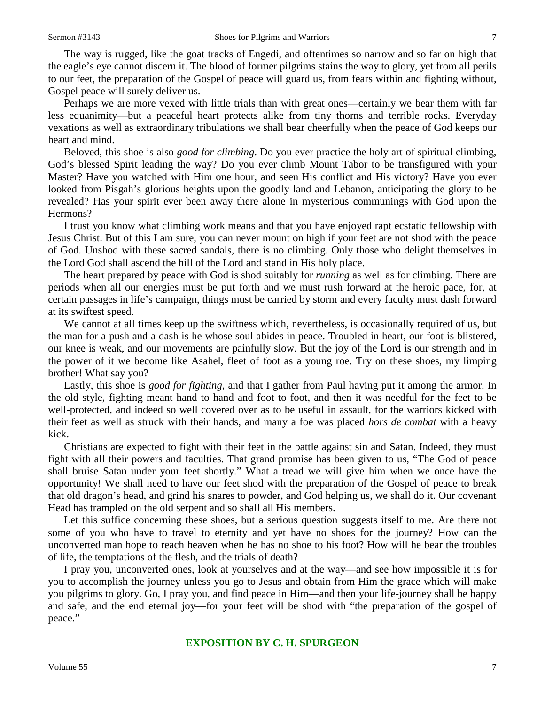The way is rugged, like the goat tracks of Engedi, and oftentimes so narrow and so far on high that the eagle's eye cannot discern it. The blood of former pilgrims stains the way to glory, yet from all perils to our feet, the preparation of the Gospel of peace will guard us, from fears within and fighting without, Gospel peace will surely deliver us.

Perhaps we are more vexed with little trials than with great ones—certainly we bear them with far less equanimity—but a peaceful heart protects alike from tiny thorns and terrible rocks. Everyday vexations as well as extraordinary tribulations we shall bear cheerfully when the peace of God keeps our heart and mind.

Beloved, this shoe is also *good for climbing*. Do you ever practice the holy art of spiritual climbing, God's blessed Spirit leading the way? Do you ever climb Mount Tabor to be transfigured with your Master? Have you watched with Him one hour, and seen His conflict and His victory? Have you ever looked from Pisgah's glorious heights upon the goodly land and Lebanon, anticipating the glory to be revealed? Has your spirit ever been away there alone in mysterious communings with God upon the Hermons?

I trust you know what climbing work means and that you have enjoyed rapt ecstatic fellowship with Jesus Christ. But of this I am sure, you can never mount on high if your feet are not shod with the peace of God. Unshod with these sacred sandals, there is no climbing. Only those who delight themselves in the Lord God shall ascend the hill of the Lord and stand in His holy place.

The heart prepared by peace with God is shod suitably for *running* as well as for climbing. There are periods when all our energies must be put forth and we must rush forward at the heroic pace, for, at certain passages in life's campaign, things must be carried by storm and every faculty must dash forward at its swiftest speed.

We cannot at all times keep up the swiftness which, nevertheless, is occasionally required of us, but the man for a push and a dash is he whose soul abides in peace. Troubled in heart, our foot is blistered, our knee is weak, and our movements are painfully slow. But the joy of the Lord is our strength and in the power of it we become like Asahel, fleet of foot as a young roe. Try on these shoes, my limping brother! What say you?

Lastly, this shoe is *good for fighting*, and that I gather from Paul having put it among the armor. In the old style, fighting meant hand to hand and foot to foot, and then it was needful for the feet to be well-protected, and indeed so well covered over as to be useful in assault, for the warriors kicked with their feet as well as struck with their hands, and many a foe was placed *hors de combat* with a heavy kick.

Christians are expected to fight with their feet in the battle against sin and Satan. Indeed, they must fight with all their powers and faculties. That grand promise has been given to us, "The God of peace shall bruise Satan under your feet shortly." What a tread we will give him when we once have the opportunity! We shall need to have our feet shod with the preparation of the Gospel of peace to break that old dragon's head, and grind his snares to powder, and God helping us, we shall do it. Our covenant Head has trampled on the old serpent and so shall all His members.

Let this suffice concerning these shoes, but a serious question suggests itself to me. Are there not some of you who have to travel to eternity and yet have no shoes for the journey? How can the unconverted man hope to reach heaven when he has no shoe to his foot? How will he bear the troubles of life, the temptations of the flesh, and the trials of death?

I pray you, unconverted ones, look at yourselves and at the way—and see how impossible it is for you to accomplish the journey unless you go to Jesus and obtain from Him the grace which will make you pilgrims to glory. Go, I pray you, and find peace in Him—and then your life-journey shall be happy and safe, and the end eternal joy—for your feet will be shod with "the preparation of the gospel of peace."

# **EXPOSITION BY C. H. SPURGEON**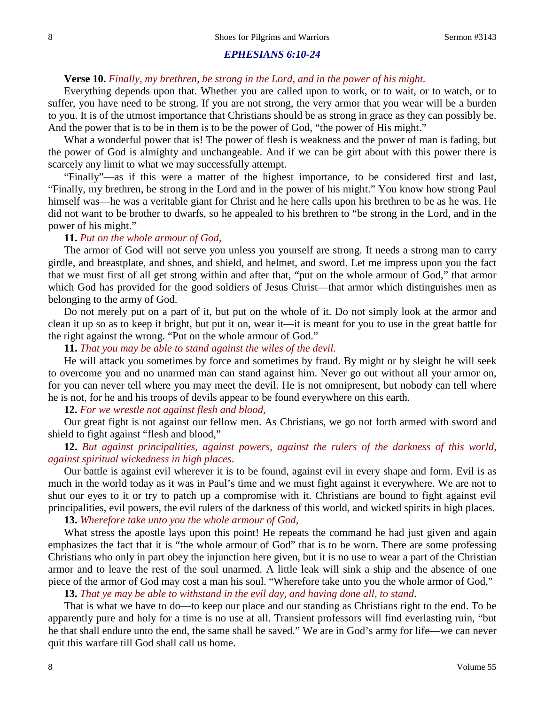#### *EPHESIANS 6:10-24*

# **Verse 10.** *Finally, my brethren, be strong in the Lord, and in the power of his might.*

Everything depends upon that. Whether you are called upon to work, or to wait, or to watch, or to suffer, you have need to be strong. If you are not strong, the very armor that you wear will be a burden to you. It is of the utmost importance that Christians should be as strong in grace as they can possibly be. And the power that is to be in them is to be the power of God, "the power of His might."

What a wonderful power that is! The power of flesh is weakness and the power of man is fading, but the power of God is almighty and unchangeable. And if we can be girt about with this power there is scarcely any limit to what we may successfully attempt.

"Finally"—as if this were a matter of the highest importance, to be considered first and last, "Finally, my brethren, be strong in the Lord and in the power of his might." You know how strong Paul himself was—he was a veritable giant for Christ and he here calls upon his brethren to be as he was. He did not want to be brother to dwarfs, so he appealed to his brethren to "be strong in the Lord, and in the power of his might."

#### **11.** *Put on the whole armour of God,*

The armor of God will not serve you unless you yourself are strong. It needs a strong man to carry girdle, and breastplate, and shoes, and shield, and helmet, and sword. Let me impress upon you the fact that we must first of all get strong within and after that, "put on the whole armour of God," that armor which God has provided for the good soldiers of Jesus Christ—that armor which distinguishes men as belonging to the army of God.

Do not merely put on a part of it, but put on the whole of it. Do not simply look at the armor and clean it up so as to keep it bright, but put it on, wear it—it is meant for you to use in the great battle for the right against the wrong. "Put on the whole armour of God."

# **11.** *That you may be able to stand against the wiles of the devil.*

He will attack you sometimes by force and sometimes by fraud. By might or by sleight he will seek to overcome you and no unarmed man can stand against him. Never go out without all your armor on, for you can never tell where you may meet the devil. He is not omnipresent, but nobody can tell where he is not, for he and his troops of devils appear to be found everywhere on this earth.

#### **12.** *For we wrestle not against flesh and blood,*

Our great fight is not against our fellow men. As Christians, we go not forth armed with sword and shield to fight against "flesh and blood,"

# **12.** *But against principalities, against powers, against the rulers of the darkness of this world, against spiritual wickedness in high places*.

Our battle is against evil wherever it is to be found, against evil in every shape and form. Evil is as much in the world today as it was in Paul's time and we must fight against it everywhere. We are not to shut our eyes to it or try to patch up a compromise with it. Christians are bound to fight against evil principalities, evil powers, the evil rulers of the darkness of this world, and wicked spirits in high places.

#### **13.** *Wherefore take unto you the whole armour of God,*

What stress the apostle lays upon this point! He repeats the command he had just given and again emphasizes the fact that it is "the whole armour of God" that is to be worn. There are some professing Christians who only in part obey the injunction here given, but it is no use to wear a part of the Christian armor and to leave the rest of the soul unarmed. A little leak will sink a ship and the absence of one piece of the armor of God may cost a man his soul. "Wherefore take unto you the whole armor of God,"

#### **13.** *That ye may be able to withstand in the evil day, and having done all, to stand*.

That is what we have to do—to keep our place and our standing as Christians right to the end. To be apparently pure and holy for a time is no use at all. Transient professors will find everlasting ruin, "but he that shall endure unto the end, the same shall be saved." We are in God's army for life—we can never quit this warfare till God shall call us home.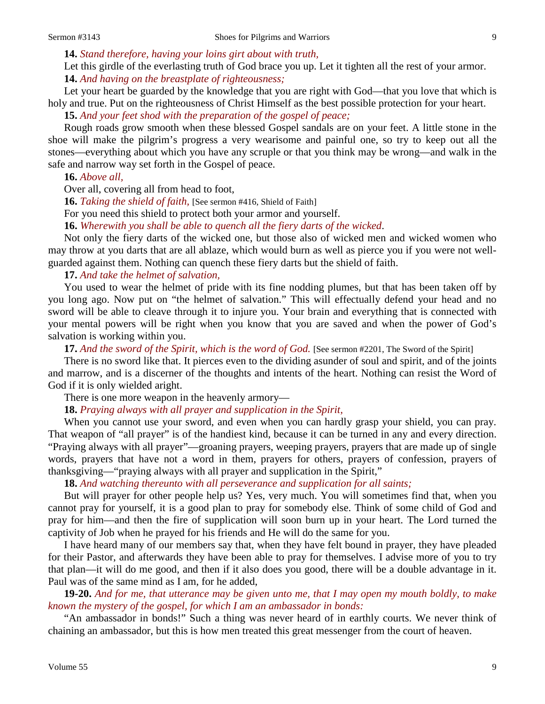**14.** *Stand therefore, having your loins girt about with truth,*

Let this girdle of the everlasting truth of God brace you up. Let it tighten all the rest of your armor. **14.** *And having on the breastplate of righteousness;*

Let your heart be guarded by the knowledge that you are right with God—that you love that which is holy and true. Put on the righteousness of Christ Himself as the best possible protection for your heart.

**15.** *And your feet shod with the preparation of the gospel of peace;*

Rough roads grow smooth when these blessed Gospel sandals are on your feet. A little stone in the shoe will make the pilgrim's progress a very wearisome and painful one, so try to keep out all the stones—everything about which you have any scruple or that you think may be wrong—and walk in the safe and narrow way set forth in the Gospel of peace.

**16.** *Above all,*

Over all, covering all from head to foot,

**16.** *Taking the shield of faith,* [See sermon #416, Shield of Faith]

For you need this shield to protect both your armor and yourself.

**16.** *Wherewith you shall be able to quench all the fiery darts of the wicked*.

Not only the fiery darts of the wicked one, but those also of wicked men and wicked women who may throw at you darts that are all ablaze, which would burn as well as pierce you if you were not wellguarded against them. Nothing can quench these fiery darts but the shield of faith.

**17.** *And take the helmet of salvation,*

You used to wear the helmet of pride with its fine nodding plumes, but that has been taken off by you long ago. Now put on "the helmet of salvation." This will effectually defend your head and no sword will be able to cleave through it to injure you. Your brain and everything that is connected with your mental powers will be right when you know that you are saved and when the power of God's salvation is working within you.

**17.** *And the sword of the Spirit, which is the word of God.* [See sermon #2201, The Sword of the Spirit]

There is no sword like that. It pierces even to the dividing asunder of soul and spirit, and of the joints and marrow, and is a discerner of the thoughts and intents of the heart. Nothing can resist the Word of God if it is only wielded aright.

There is one more weapon in the heavenly armory—

**18.** *Praying always with all prayer and supplication in the Spirit,*

When you cannot use your sword, and even when you can hardly grasp your shield, you can pray. That weapon of "all prayer" is of the handiest kind, because it can be turned in any and every direction. "Praying always with all prayer"—groaning prayers, weeping prayers, prayers that are made up of single words, prayers that have not a word in them, prayers for others, prayers of confession, prayers of thanksgiving—"praying always with all prayer and supplication in the Spirit,"

**18.** *And watching thereunto with all perseverance and supplication for all saints;*

But will prayer for other people help us? Yes, very much. You will sometimes find that, when you cannot pray for yourself, it is a good plan to pray for somebody else. Think of some child of God and pray for him—and then the fire of supplication will soon burn up in your heart. The Lord turned the captivity of Job when he prayed for his friends and He will do the same for you.

I have heard many of our members say that, when they have felt bound in prayer, they have pleaded for their Pastor, and afterwards they have been able to pray for themselves. I advise more of you to try that plan—it will do me good, and then if it also does you good, there will be a double advantage in it. Paul was of the same mind as I am, for he added,

**19-20.** *And for me, that utterance may be given unto me, that I may open my mouth boldly, to make known the mystery of the gospel, for which I am an ambassador in bonds:*

"An ambassador in bonds!" Such a thing was never heard of in earthly courts. We never think of chaining an ambassador, but this is how men treated this great messenger from the court of heaven.